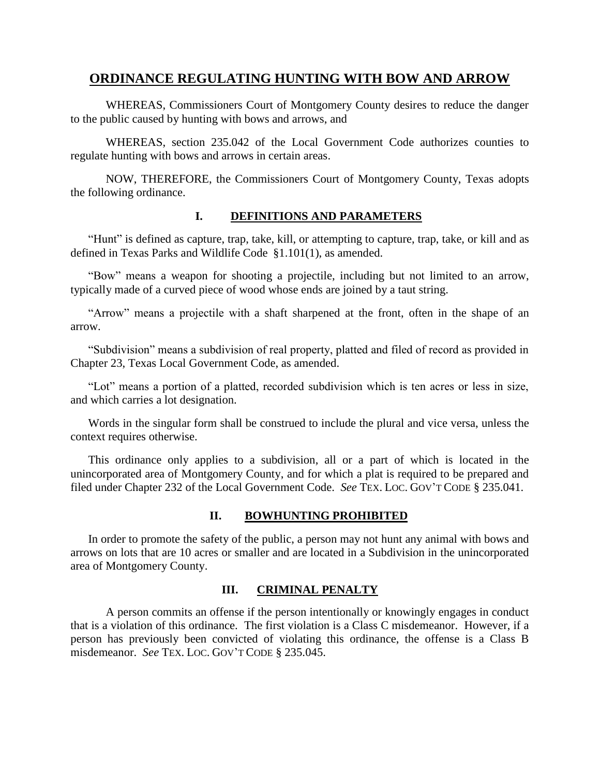# **ORDINANCE REGULATING HUNTING WITH BOW AND ARROW**

WHEREAS, Commissioners Court of Montgomery County desires to reduce the danger to the public caused by hunting with bows and arrows, and

WHEREAS, section 235.042 of the Local Government Code authorizes counties to regulate hunting with bows and arrows in certain areas.

NOW, THEREFORE, the Commissioners Court of Montgomery County, Texas adopts the following ordinance.

### **I. DEFINITIONS AND PARAMETERS**

"Hunt" is defined as capture, trap, take, kill, or attempting to capture, trap, take, or kill and as defined in Texas Parks and Wildlife Code §1.101(1), as amended.

"Bow" means a weapon for shooting a projectile, including but not limited to an arrow, typically made of a curved piece of wood whose ends are joined by a taut string.

"Arrow" means a projectile with a shaft sharpened at the front, often in the shape of an arrow.

"Subdivision" means a subdivision of real property, platted and filed of record as provided in Chapter 23, Texas Local Government Code, as amended.

"Lot" means a portion of a platted, recorded subdivision which is ten acres or less in size, and which carries a lot designation.

Words in the singular form shall be construed to include the plural and vice versa, unless the context requires otherwise.

This ordinance only applies to a subdivision, all or a part of which is located in the unincorporated area of Montgomery County, and for which a plat is required to be prepared and filed under Chapter 232 of the Local Government Code. *See* TEX. LOC. GOV'T CODE § 235.041.

## **II. BOWHUNTING PROHIBITED**

In order to promote the safety of the public, a person may not hunt any animal with bows and arrows on lots that are 10 acres or smaller and are located in a Subdivision in the unincorporated area of Montgomery County.

#### **III. CRIMINAL PENALTY**

A person commits an offense if the person intentionally or knowingly engages in conduct that is a violation of this ordinance. The first violation is a Class C misdemeanor. However, if a person has previously been convicted of violating this ordinance, the offense is a Class B misdemeanor. *See* TEX. LOC. GOV'T CODE § 235.045.